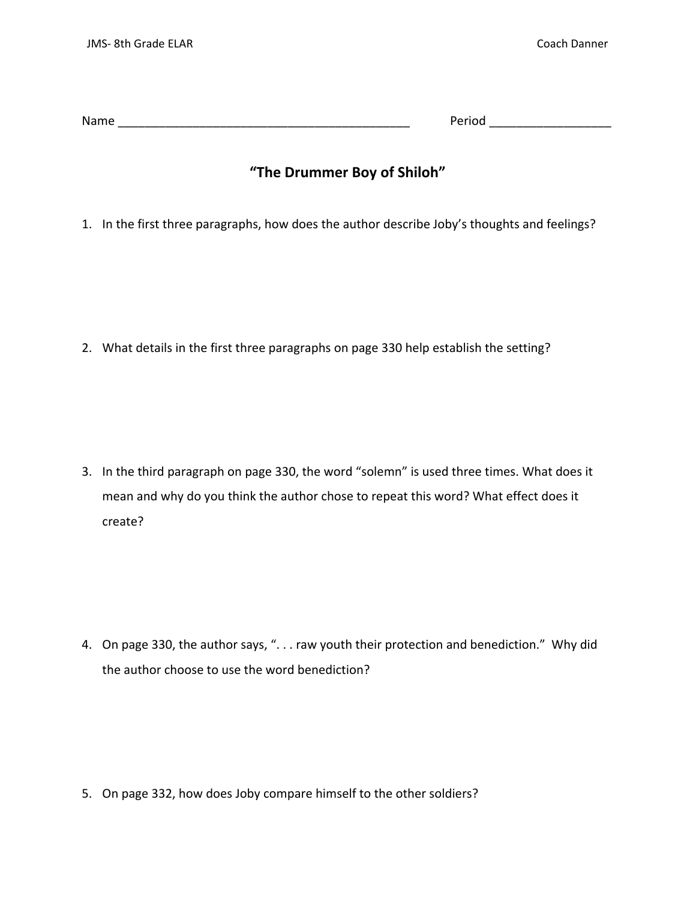| Name | -<br>$  -$ |
|------|------------|
|      | .<br>. .   |

## "The Drummer Boy of Shiloh"

1. In the first three paragraphs, how does the author describe Joby's thoughts and feelings?

2. What details in the first three paragraphs on page 330 help establish the setting?

3. In the third paragraph on page 330, the word "solemn" is used three times. What does it mean and why do you think the author chose to repeat this word? What effect does it create?

4. On page 330, the author says, ". . . raw youth their protection and benediction." Why did the author choose to use the word benediction?

5. On page 332, how does Joby compare himself to the other soldiers?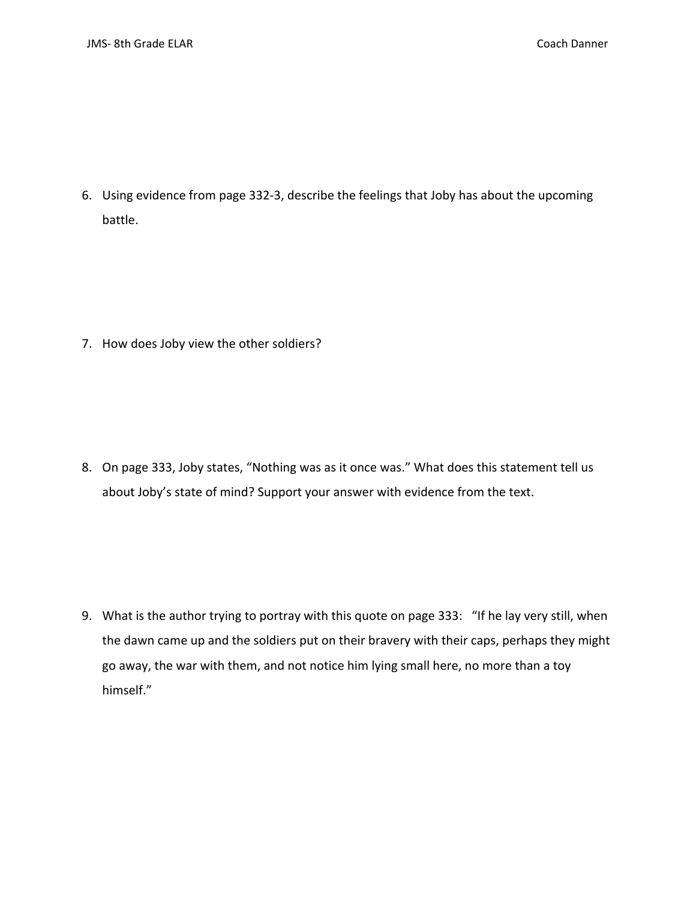6. Using evidence from page 332‐3, describe the feelings that Joby has about the upcoming battle.

7. How does Joby view the other soldiers?

8. On page 333, Joby states, "Nothing was as it once was." What does this statement tell us about Joby's state of mind? Support your answer with evidence from the text.

9. What is the author trying to portray with this quote on page 333: "If he lay very still, when the dawn came up and the soldiers put on their bravery with their caps, perhaps they might go away, the war with them, and not notice him lying small here, no more than a toy himself."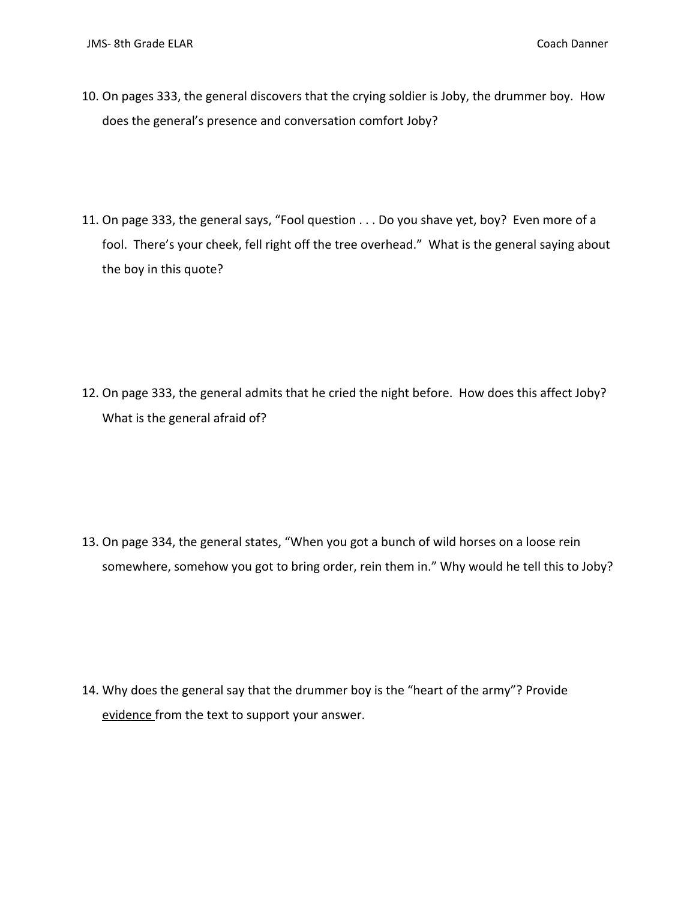- 10. On pages 333, the general discovers that the crying soldier is Joby, the drummer boy. How does the general's presence and conversation comfort Joby?
- 11. On page 333, the general says, "Fool question . . . Do you shave yet, boy? Even more of a fool. There's your cheek, fell right off the tree overhead." What is the general saying about the boy in this quote?

12. On page 333, the general admits that he cried the night before. How does this affect Joby? What is the general afraid of?

13. On page 334, the general states, "When you got a bunch of wild horses on a loose rein somewhere, somehow you got to bring order, rein them in." Why would he tell this to Joby?

14. Why does the general say that the drummer boy is the "heart of the army"? Provide evidence from the text to support your answer.